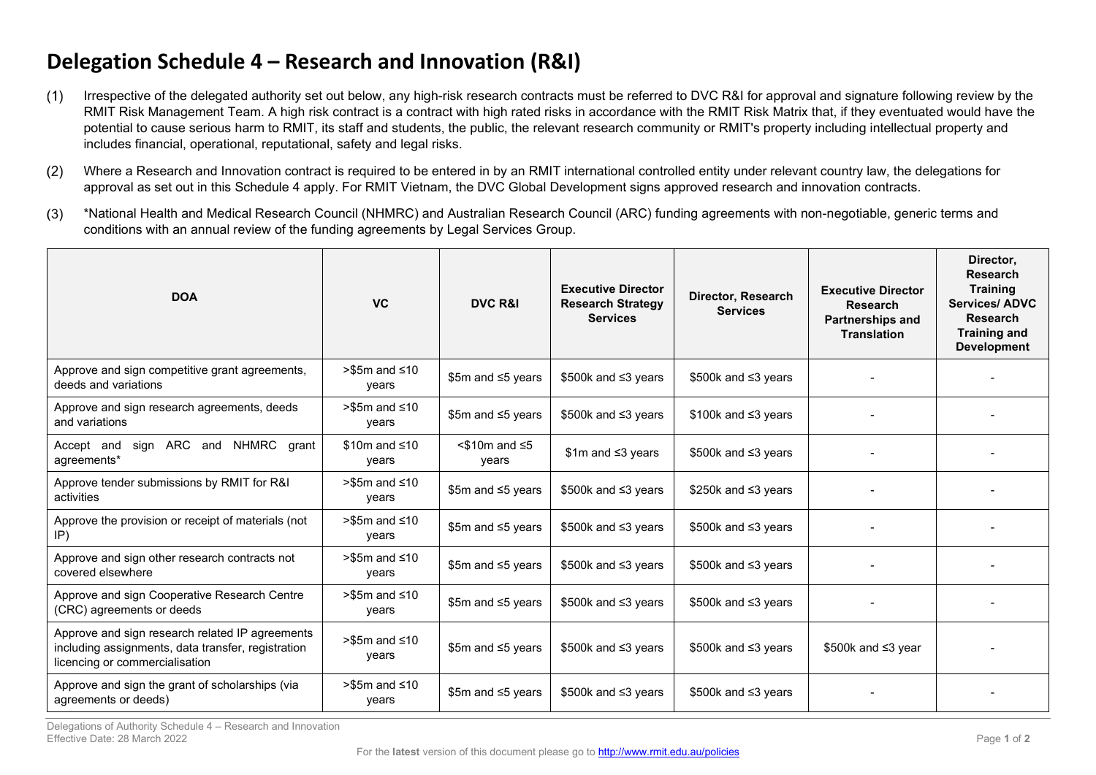## **Delegation Schedule 4 – Research and Innovation (R&I)**

- $(1)$ Irrespective of the delegated authority set out below, any high-risk research contracts must be referred to DVC R&I for approval and signature following review by the RMIT Risk Management Team. A high risk contract is a contract with high rated risks in accordance with the RMIT Risk Matrix that, if they eventuated would have the potential to cause serious harm to RMIT, its staff and students, the public, the relevant research community or RMIT's property including intellectual property and includes financial, operational, reputational, safety and legal risks.
- Where a Research and Innovation contract is required to be entered in by an RMIT international controlled entity under relevant country law, the delegations for  $(2)$ approval as set out in this Schedule 4 apply. For RMIT Vietnam, the DVC Global Development signs approved research and innovation contracts.
- $(3)$ \*National Health and Medical Research Council (NHMRC) and Australian Research Council (ARC) funding agreements with non-negotiable, generic terms and conditions with an annual review of the funding agreements by Legal Services Group.

| <b>DOA</b>                                                                                                                              | <b>VC</b>                      | <b>DVC R&amp;I</b>              | <b>Executive Director</b><br><b>Research Strategy</b><br><b>Services</b> | Director, Research<br><b>Services</b> | <b>Executive Director</b><br><b>Research</b><br><b>Partnerships and</b><br><b>Translation</b> | Director,<br><b>Research</b><br><b>Training</b><br><b>Services/ ADVC</b><br><b>Research</b><br><b>Training and</b><br><b>Development</b> |
|-----------------------------------------------------------------------------------------------------------------------------------------|--------------------------------|---------------------------------|--------------------------------------------------------------------------|---------------------------------------|-----------------------------------------------------------------------------------------------|------------------------------------------------------------------------------------------------------------------------------------------|
| Approve and sign competitive grant agreements,<br>deeds and variations                                                                  | $> $5m$ and $\leq 10$<br>years | \$5m and $\leq$ 5 years         | \$500k and $\leq$ 3 years                                                | \$500k and $\leq$ 3 years             |                                                                                               |                                                                                                                                          |
| Approve and sign research agreements, deeds<br>and variations                                                                           | $> $5m$ and $\leq 10$<br>years | \$5m and ≤5 years               | $$500k$ and $\leq 3$ years                                               | $$100k$ and $\leq 3$ years            |                                                                                               |                                                                                                                                          |
| sign ARC and NHMRC grant<br>Accept and<br>agreements*                                                                                   | $$10m$ and $\leq 10$<br>years  | $<$ \$10m and $\leq$ 5<br>years | $$1m$ and $\leq 3$ years                                                 | $$500k$ and $\leq 3$ years            |                                                                                               |                                                                                                                                          |
| Approve tender submissions by RMIT for R&I<br>activities                                                                                | $> $5m$ and $\leq 10$<br>years | \$5m and ≤5 years               | $$500k$ and $\leq 3$ years                                               | \$250k and ≤3 years                   |                                                                                               |                                                                                                                                          |
| Approve the provision or receipt of materials (not<br>IP)                                                                               | $> $5m$ and $\leq 10$<br>years | \$5m and ≤5 years               | $$500k$ and $\leq 3$ years                                               | $$500k$ and $\leq 3$ years            |                                                                                               |                                                                                                                                          |
| Approve and sign other research contracts not<br>covered elsewhere                                                                      | $> $5m$ and $\leq 10$<br>years | \$5m and ≤5 years               | \$500k and $\leq$ 3 years                                                | \$500k and ≤3 years                   |                                                                                               |                                                                                                                                          |
| Approve and sign Cooperative Research Centre<br>(CRC) agreements or deeds                                                               | $> $5m$ and $\leq 10$<br>years | \$5m and ≤5 years               | $$500k$ and $\leq 3$ years                                               | $$500k$ and $\leq 3$ years            |                                                                                               |                                                                                                                                          |
| Approve and sign research related IP agreements<br>including assignments, data transfer, registration<br>licencing or commercialisation | $> $5m$ and $\leq 10$<br>years | \$5m and ≤5 years               | \$500k and ≤3 years                                                      | \$500k and ≤3 years                   | $$500k$ and $\leq 3$ year                                                                     |                                                                                                                                          |
| Approve and sign the grant of scholarships (via<br>agreements or deeds)                                                                 | $> $5m$ and $\leq 10$<br>years | \$5m and ≤5 years               | \$500k and ≤3 years                                                      | \$500k and ≤3 years                   |                                                                                               |                                                                                                                                          |